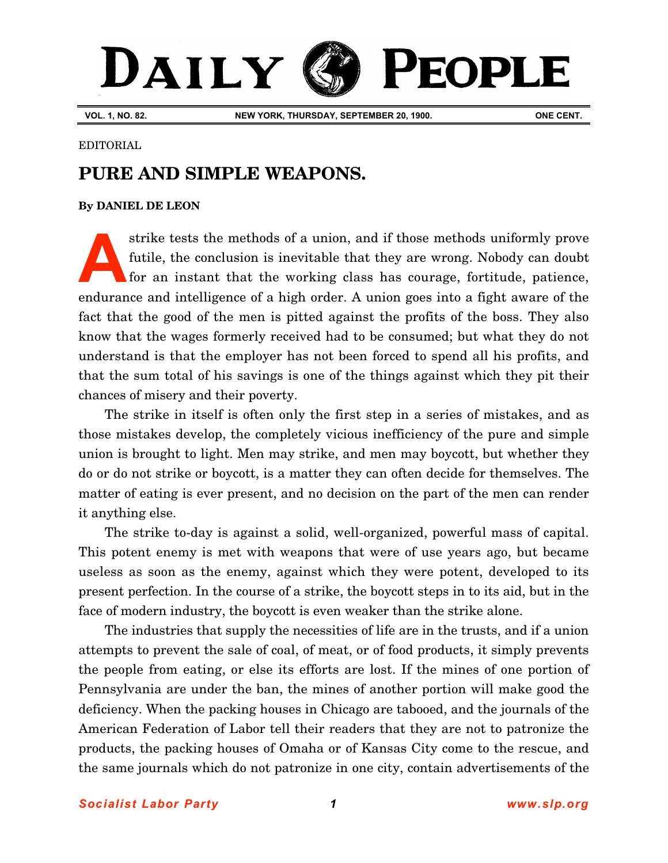# DAILY **PEOPLE**

**VOL. 1, NO. 82. NEW YORK, THURSDAY, SEPTEMBER 20, 1900. ONE CENT.**

#### EDITORIAL

## **PURE AND SIMPLE WEAPONS.**

### **By [DANIEL DE LEON](http://www.slp.org/De_Leon.htm)**

strike tests the methods of a union, and if those methods uniformly prove futile, the conclusion is inevitable that they are wrong. Nobody can doubt for an instant that the working class has courage, fortitude, patience, endurance and intelligence of a high order. A union goes into a fight aware of the fact that the good of the men is pitted against the profits of the boss. They also know that the wages formerly received had to be consumed; but what they do not understand is that the employer has not been forced to spend all his profits, and that the sum total of his savings is one of the things against which they pit their chances of misery and their poverty. **A**

The strike in itself is often only the first step in a series of mistakes, and as those mistakes develop, the completely vicious inefficiency of the pure and simple union is brought to light. Men may strike, and men may boycott, but whether they do or do not strike or boycott, is a matter they can often decide for themselves. The matter of eating is ever present, and no decision on the part of the men can render it anything else.

The strike to-day is against a solid, well-organized, powerful mass of capital. This potent enemy is met with weapons that were of use years ago, but became useless as soon as the enemy, against which they were potent, developed to its present perfection. In the course of a strike, the boycott steps in to its aid, but in the face of modern industry, the boycott is even weaker than the strike alone.

The industries that supply the necessities of life are in the trusts, and if a union attempts to prevent the sale of coal, of meat, or of food products, it simply prevents the people from eating, or else its efforts are lost. If the mines of one portion of Pennsylvania are under the ban, the mines of another portion will make good the deficiency. When the packing houses in Chicago are tabooed, and the journals of the American Federation of Labor tell their readers that they are not to patronize the products, the packing houses of Omaha or of Kansas City come to the rescue, and the same journals which do not patronize in one city, contain advertisements of the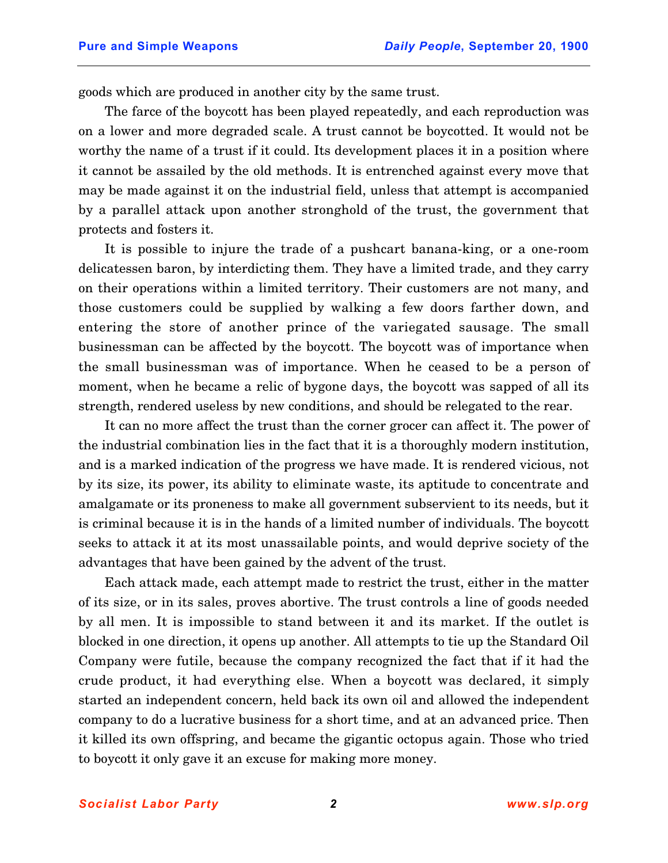goods which are produced in another city by the same trust.

The farce of the boycott has been played repeatedly, and each reproduction was on a lower and more degraded scale. A trust cannot be boycotted. It would not be worthy the name of a trust if it could. Its development places it in a position where it cannot be assailed by the old methods. It is entrenched against every move that may be made against it on the industrial field, unless that attempt is accompanied by a parallel attack upon another stronghold of the trust, the government that protects and fosters it.

It is possible to injure the trade of a pushcart banana-king, or a one-room delicatessen baron, by interdicting them. They have a limited trade, and they carry on their operations within a limited territory. Their customers are not many, and those customers could be supplied by walking a few doors farther down, and entering the store of another prince of the variegated sausage. The small businessman can be affected by the boycott. The boycott was of importance when the small businessman was of importance. When he ceased to be a person of moment, when he became a relic of bygone days, the boycott was sapped of all its strength, rendered useless by new conditions, and should be relegated to the rear.

It can no more affect the trust than the corner grocer can affect it. The power of the industrial combination lies in the fact that it is a thoroughly modern institution, and is a marked indication of the progress we have made. It is rendered vicious, not by its size, its power, its ability to eliminate waste, its aptitude to concentrate and amalgamate or its proneness to make all government subservient to its needs, but it is criminal because it is in the hands of a limited number of individuals. The boycott seeks to attack it at its most unassailable points, and would deprive society of the advantages that have been gained by the advent of the trust.

Each attack made, each attempt made to restrict the trust, either in the matter of its size, or in its sales, proves abortive. The trust controls a line of goods needed by all men. It is impossible to stand between it and its market. If the outlet is blocked in one direction, it opens up another. All attempts to tie up the Standard Oil Company were futile, because the company recognized the fact that if it had the crude product, it had everything else. When a boycott was declared, it simply started an independent concern, held back its own oil and allowed the independent company to do a lucrative business for a short time, and at an advanced price. Then it killed its own offspring, and became the gigantic octopus again. Those who tried to boycott it only gave it an excuse for making more money.